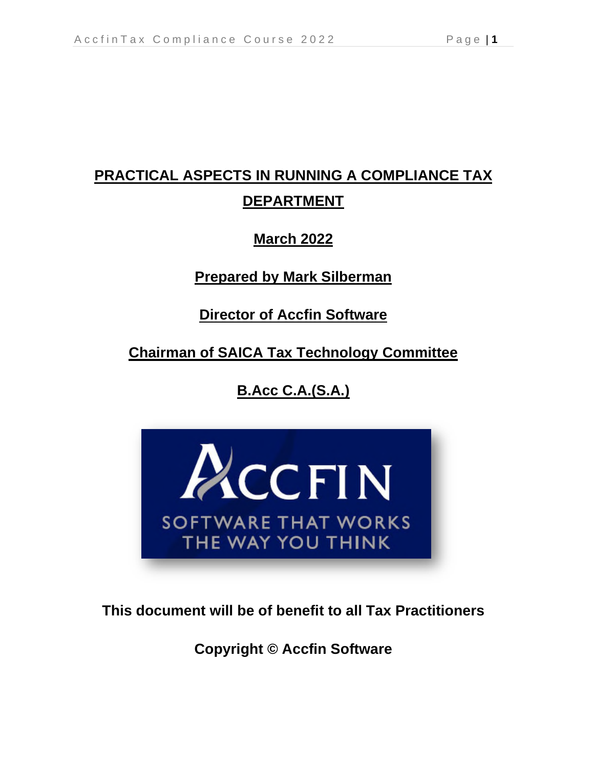# **PRACTICAL ASPECTS IN RUNNING A COMPLIANCE TAX DEPARTMENT**

## **March 2022**

## **Prepared by Mark Silberman**

**Director of Accfin Software** 

**Chairman of SAICA Tax Technology Committee** 

**B.Acc C.A.(S.A.)** 



**This document will be of benefit to all Tax Practitioners** 

**Copyright © Accfin Software**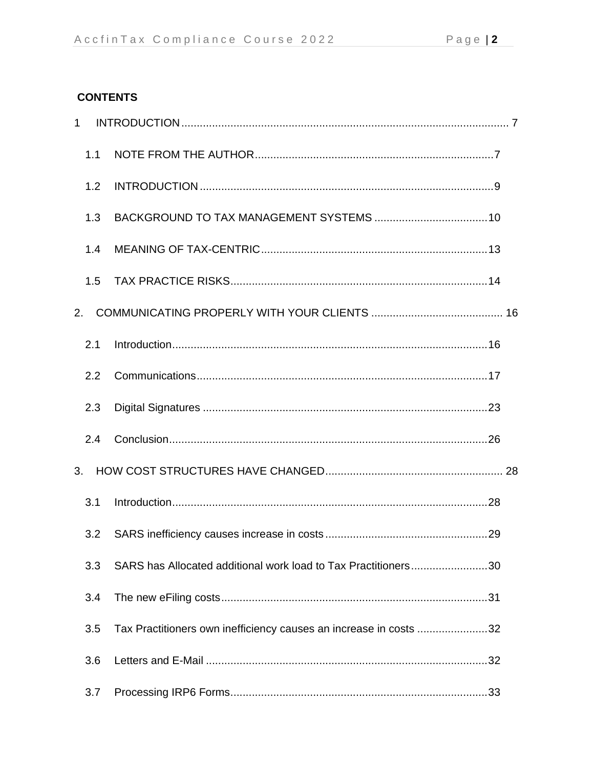## **CONTENTS**

| 1  |     |                                                                   |  |
|----|-----|-------------------------------------------------------------------|--|
|    | 1.1 |                                                                   |  |
|    | 1.2 |                                                                   |  |
|    | 1.3 |                                                                   |  |
|    | 1.4 |                                                                   |  |
|    | 1.5 |                                                                   |  |
| 2. |     |                                                                   |  |
|    | 2.1 | Introduction 16                                                   |  |
|    | 2.2 |                                                                   |  |
|    | 2.3 |                                                                   |  |
|    | 2.4 |                                                                   |  |
| 3. |     |                                                                   |  |
|    | 3.1 |                                                                   |  |
|    | 3.2 |                                                                   |  |
|    | 3.3 | SARS has Allocated additional work load to Tax Practitioners30    |  |
|    | 3.4 |                                                                   |  |
|    | 3.5 | Tax Practitioners own inefficiency causes an increase in costs 32 |  |
|    | 3.6 |                                                                   |  |
|    | 3.7 |                                                                   |  |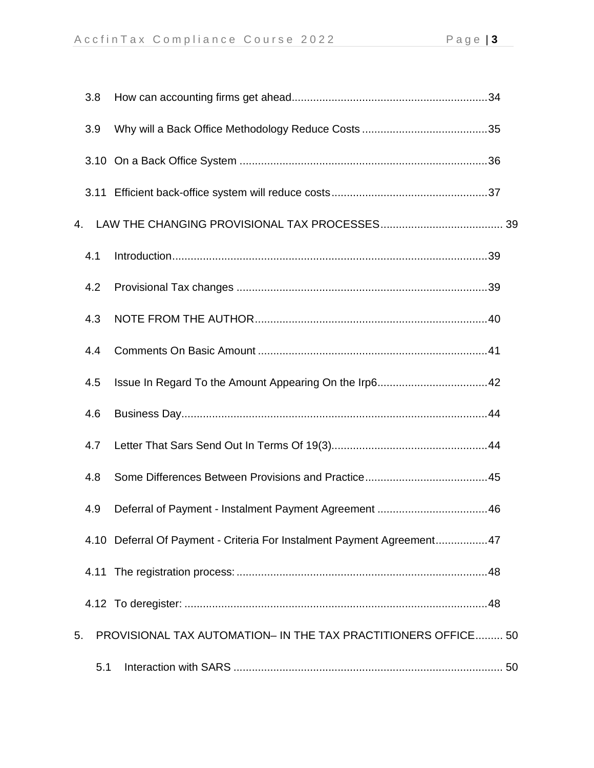|    | 3.8 |                                                                        |  |
|----|-----|------------------------------------------------------------------------|--|
|    | 3.9 |                                                                        |  |
|    |     |                                                                        |  |
|    |     |                                                                        |  |
| 4. |     |                                                                        |  |
|    | 4.1 |                                                                        |  |
|    | 4.2 |                                                                        |  |
|    | 4.3 |                                                                        |  |
|    | 4.4 |                                                                        |  |
|    | 4.5 |                                                                        |  |
|    | 4.6 |                                                                        |  |
|    | 4.7 |                                                                        |  |
|    | 4.8 |                                                                        |  |
|    | 4.9 |                                                                        |  |
|    |     | 4.10 Deferral Of Payment - Criteria For Instalment Payment Agreement47 |  |
|    |     |                                                                        |  |
|    |     |                                                                        |  |
| 5. |     | PROVISIONAL TAX AUTOMATION- IN THE TAX PRACTITIONERS OFFICE 50         |  |
|    | 5.1 |                                                                        |  |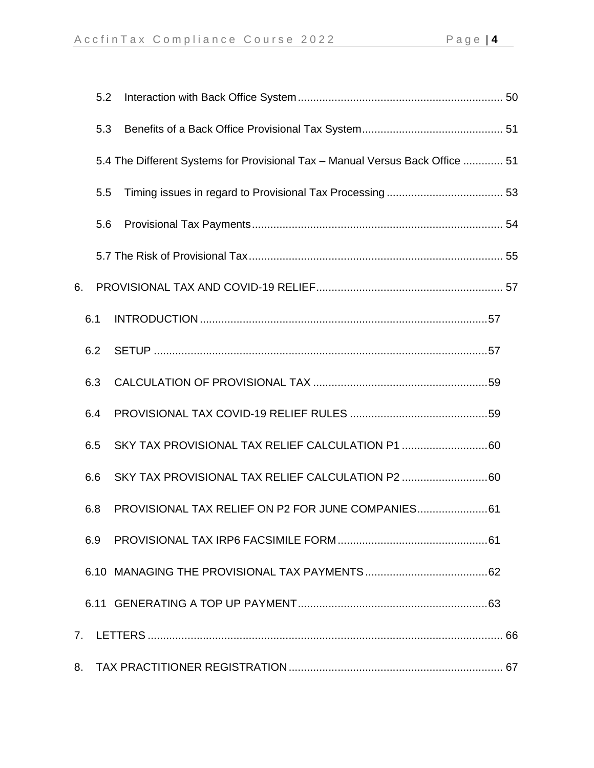|                | 5.2 |                                                                               |  |
|----------------|-----|-------------------------------------------------------------------------------|--|
|                | 5.3 |                                                                               |  |
|                |     | 5.4 The Different Systems for Provisional Tax - Manual Versus Back Office  51 |  |
|                | 5.5 |                                                                               |  |
|                | 5.6 |                                                                               |  |
|                |     |                                                                               |  |
| 6.             |     |                                                                               |  |
|                | 6.1 |                                                                               |  |
|                | 6.2 |                                                                               |  |
|                | 6.3 |                                                                               |  |
|                | 6.4 |                                                                               |  |
|                | 6.5 |                                                                               |  |
|                | 6.6 |                                                                               |  |
|                | 6.8 | PROVISIONAL TAX RELIEF ON P2 FOR JUNE COMPANIES 61                            |  |
|                | 6.9 |                                                                               |  |
|                |     |                                                                               |  |
|                |     |                                                                               |  |
| 7 <sub>1</sub> |     |                                                                               |  |
| 8.             |     |                                                                               |  |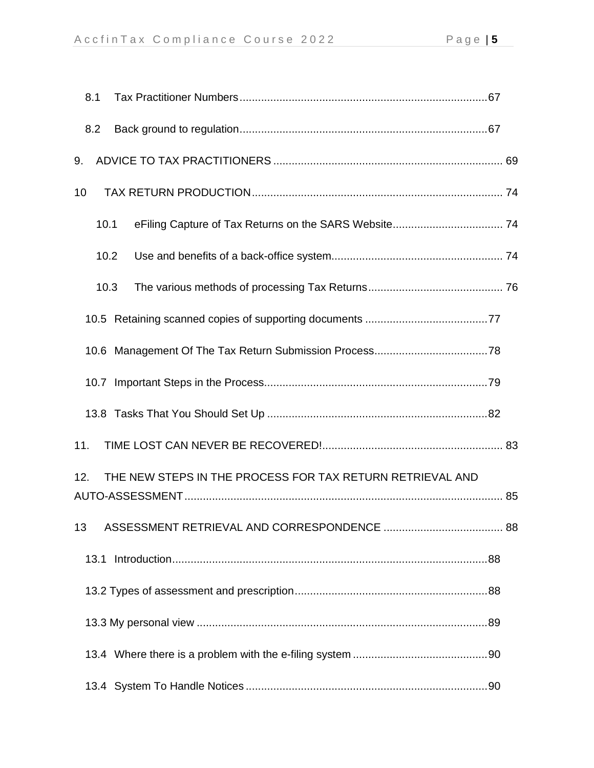|     | 8.1  |                                                           |  |
|-----|------|-----------------------------------------------------------|--|
|     | 8.2  |                                                           |  |
| 9.  |      |                                                           |  |
| 10  |      |                                                           |  |
|     | 10.1 |                                                           |  |
|     | 10.2 |                                                           |  |
|     | 10.3 |                                                           |  |
|     |      |                                                           |  |
|     |      |                                                           |  |
|     |      |                                                           |  |
|     |      |                                                           |  |
| 11. |      |                                                           |  |
| 12. |      | THE NEW STEPS IN THE PROCESS FOR TAX RETURN RETRIEVAL AND |  |
|     |      |                                                           |  |
|     |      |                                                           |  |
|     |      |                                                           |  |
|     |      |                                                           |  |
|     |      |                                                           |  |
|     |      |                                                           |  |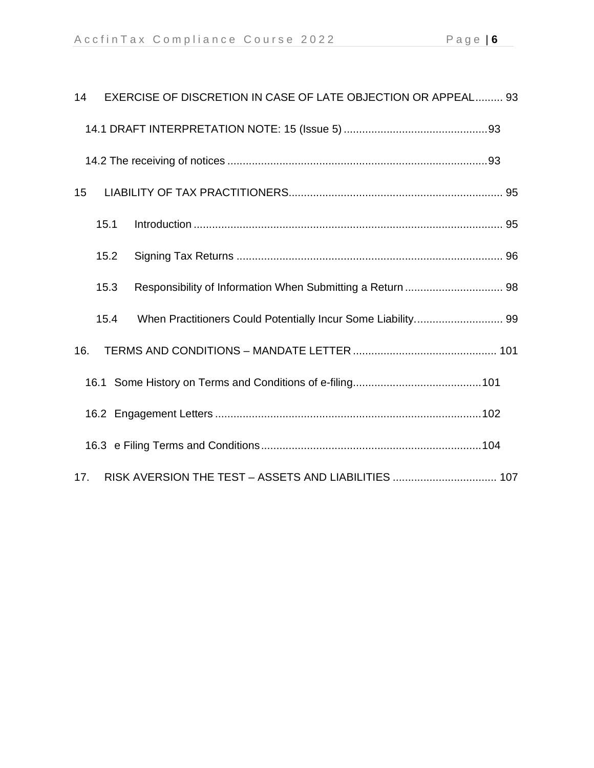| 14  |      | EXERCISE OF DISCRETION IN CASE OF LATE OBJECTION OR APPEAL 93 |
|-----|------|---------------------------------------------------------------|
|     |      |                                                               |
|     |      |                                                               |
| 15  |      |                                                               |
|     | 15.1 |                                                               |
|     | 15.2 |                                                               |
|     | 15.3 |                                                               |
|     | 15.4 |                                                               |
| 16. |      |                                                               |
|     |      |                                                               |
|     |      |                                                               |
|     |      |                                                               |
| 17. |      | RISK AVERSION THE TEST - ASSETS AND LIABILITIES  107          |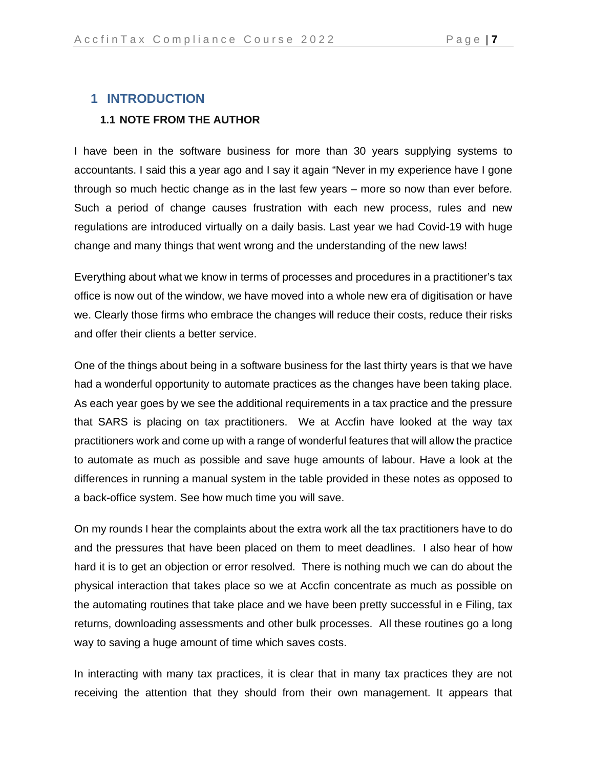## **1 INTRODUCTION**

#### **1.1 NOTE FROM THE AUTHOR**

I have been in the software business for more than 30 years supplying systems to accountants. I said this a year ago and I say it again "Never in my experience have I gone through so much hectic change as in the last few years – more so now than ever before. Such a period of change causes frustration with each new process, rules and new regulations are introduced virtually on a daily basis. Last year we had Covid-19 with huge change and many things that went wrong and the understanding of the new laws!

Everything about what we know in terms of processes and procedures in a practitioner's tax office is now out of the window, we have moved into a whole new era of digitisation or have we. Clearly those firms who embrace the changes will reduce their costs, reduce their risks and offer their clients a better service.

One of the things about being in a software business for the last thirty years is that we have had a wonderful opportunity to automate practices as the changes have been taking place. As each year goes by we see the additional requirements in a tax practice and the pressure that SARS is placing on tax practitioners. We at Accfin have looked at the way tax practitioners work and come up with a range of wonderful features that will allow the practice to automate as much as possible and save huge amounts of labour. Have a look at the differences in running a manual system in the table provided in these notes as opposed to a back-office system. See how much time you will save.

On my rounds I hear the complaints about the extra work all the tax practitioners have to do and the pressures that have been placed on them to meet deadlines. I also hear of how hard it is to get an objection or error resolved. There is nothing much we can do about the physical interaction that takes place so we at Accfin concentrate as much as possible on the automating routines that take place and we have been pretty successful in e Filing, tax returns, downloading assessments and other bulk processes. All these routines go a long way to saving a huge amount of time which saves costs.

In interacting with many tax practices, it is clear that in many tax practices they are not receiving the attention that they should from their own management. It appears that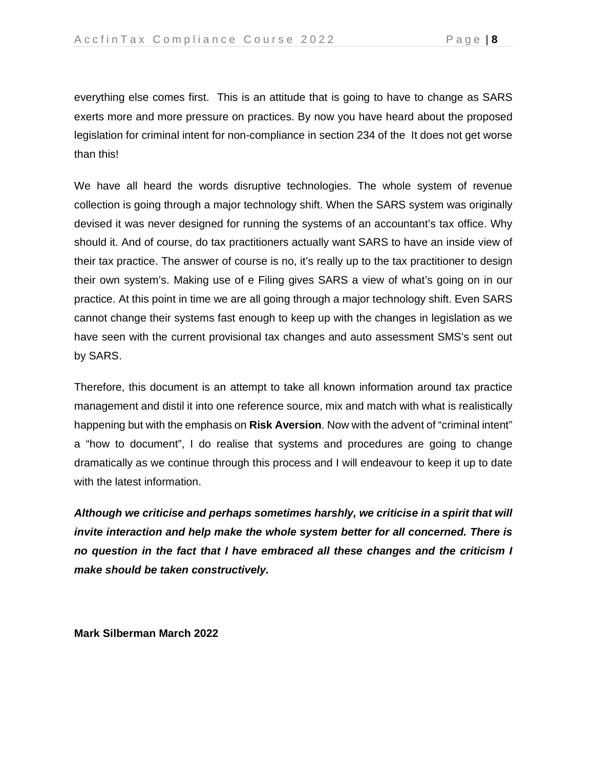everything else comes first. This is an attitude that is going to have to change as SARS exerts more and more pressure on practices. By now you have heard about the proposed legislation for criminal intent for non-compliance in section 234 of the It does not get worse than this!

We have all heard the words disruptive technologies. The whole system of revenue collection is going through a major technology shift. When the SARS system was originally devised it was never designed for running the systems of an accountant's tax office. Why should it. And of course, do tax practitioners actually want SARS to have an inside view of their tax practice. The answer of course is no, it's really up to the tax practitioner to design their own system's. Making use of e Filing gives SARS a view of what's going on in our practice. At this point in time we are all going through a major technology shift. Even SARS cannot change their systems fast enough to keep up with the changes in legislation as we have seen with the current provisional tax changes and auto assessment SMS's sent out by SARS.

Therefore, this document is an attempt to take all known information around tax practice management and distil it into one reference source, mix and match with what is realistically happening but with the emphasis on **Risk Aversion**. Now with the advent of "criminal intent" a "how to document", I do realise that systems and procedures are going to change dramatically as we continue through this process and I will endeavour to keep it up to date with the latest information.

*Although we criticise and perhaps sometimes harshly, we criticise in a spirit that will invite interaction and help make the whole system better for all concerned. There is no question in the fact that I have embraced all these changes and the criticism I make should be taken constructively.* 

**Mark Silberman March 2022**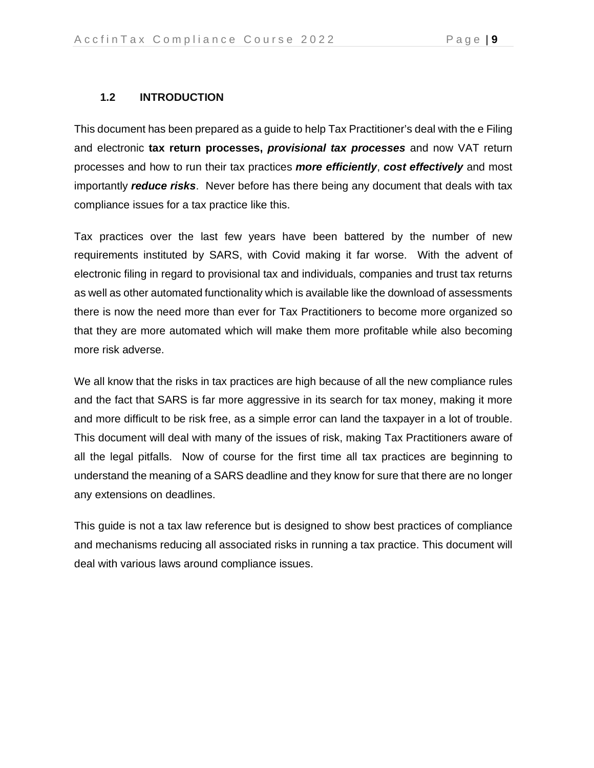#### **1.2 INTRODUCTION**

This document has been prepared as a guide to help Tax Practitioner's deal with the e Filing and electronic **tax return processes,** *provisional tax processes* and now VAT return processes and how to run their tax practices *more efficiently*, *cost effectively* and most importantly *reduce risks*. Never before has there being any document that deals with tax compliance issues for a tax practice like this.

Tax practices over the last few years have been battered by the number of new requirements instituted by SARS, with Covid making it far worse. With the advent of electronic filing in regard to provisional tax and individuals, companies and trust tax returns as well as other automated functionality which is available like the download of assessments there is now the need more than ever for Tax Practitioners to become more organized so that they are more automated which will make them more profitable while also becoming more risk adverse.

We all know that the risks in tax practices are high because of all the new compliance rules and the fact that SARS is far more aggressive in its search for tax money, making it more and more difficult to be risk free, as a simple error can land the taxpayer in a lot of trouble. This document will deal with many of the issues of risk, making Tax Practitioners aware of all the legal pitfalls. Now of course for the first time all tax practices are beginning to understand the meaning of a SARS deadline and they know for sure that there are no longer any extensions on deadlines.

This guide is not a tax law reference but is designed to show best practices of compliance and mechanisms reducing all associated risks in running a tax practice. This document will deal with various laws around compliance issues.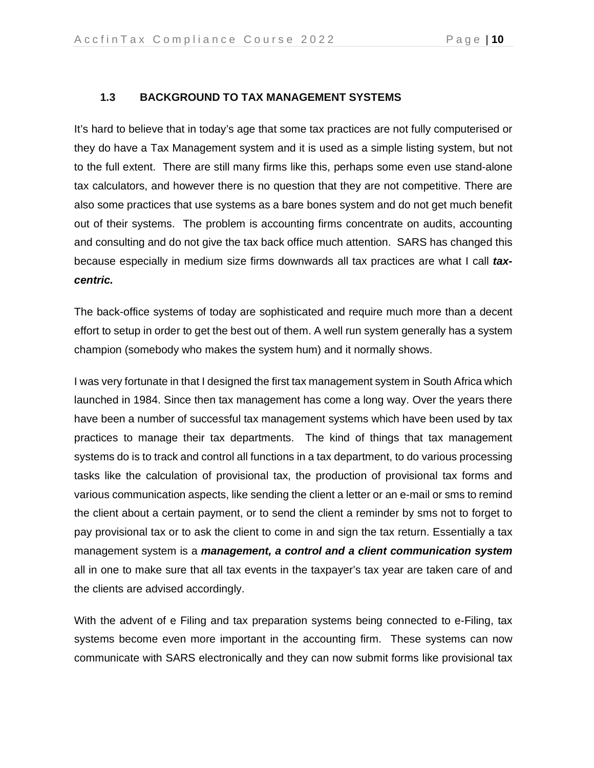#### **1.3 BACKGROUND TO TAX MANAGEMENT SYSTEMS**

It's hard to believe that in today's age that some tax practices are not fully computerised or they do have a Tax Management system and it is used as a simple listing system, but not to the full extent. There are still many firms like this, perhaps some even use stand-alone tax calculators, and however there is no question that they are not competitive. There are also some practices that use systems as a bare bones system and do not get much benefit out of their systems. The problem is accounting firms concentrate on audits, accounting and consulting and do not give the tax back office much attention. SARS has changed this because especially in medium size firms downwards all tax practices are what I call *taxcentric.* 

The back-office systems of today are sophisticated and require much more than a decent effort to setup in order to get the best out of them. A well run system generally has a system champion (somebody who makes the system hum) and it normally shows.

I was very fortunate in that I designed the first tax management system in South Africa which launched in 1984. Since then tax management has come a long way. Over the years there have been a number of successful tax management systems which have been used by tax practices to manage their tax departments. The kind of things that tax management systems do is to track and control all functions in a tax department, to do various processing tasks like the calculation of provisional tax, the production of provisional tax forms and various communication aspects, like sending the client a letter or an e-mail or sms to remind the client about a certain payment, or to send the client a reminder by sms not to forget to pay provisional tax or to ask the client to come in and sign the tax return. Essentially a tax management system is a *management, a control and a client communication system*  all in one to make sure that all tax events in the taxpayer's tax year are taken care of and the clients are advised accordingly.

With the advent of e Filing and tax preparation systems being connected to e-Filing, tax systems become even more important in the accounting firm. These systems can now communicate with SARS electronically and they can now submit forms like provisional tax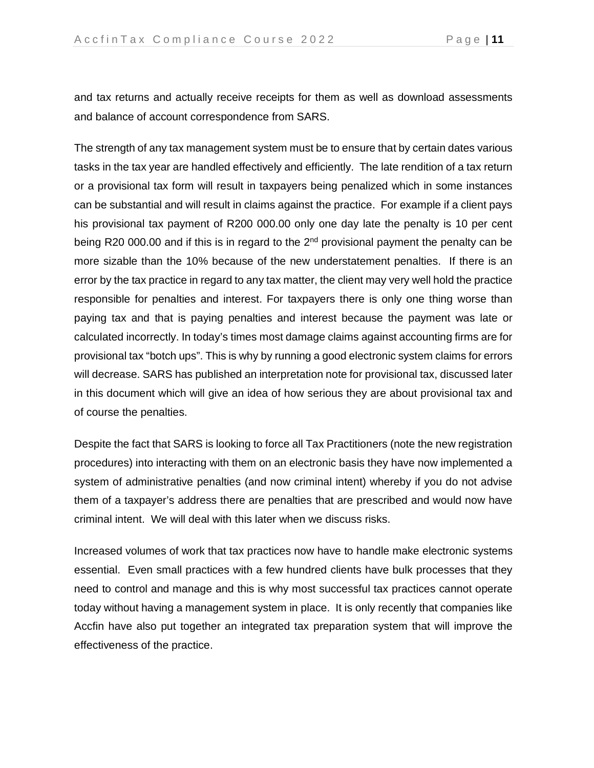and tax returns and actually receive receipts for them as well as download assessments and balance of account correspondence from SARS.

The strength of any tax management system must be to ensure that by certain dates various tasks in the tax year are handled effectively and efficiently. The late rendition of a tax return or a provisional tax form will result in taxpayers being penalized which in some instances can be substantial and will result in claims against the practice. For example if a client pays his provisional tax payment of R200 000.00 only one day late the penalty is 10 per cent being R20 000.00 and if this is in regard to the  $2<sup>nd</sup>$  provisional payment the penalty can be more sizable than the 10% because of the new understatement penalties. If there is an error by the tax practice in regard to any tax matter, the client may very well hold the practice responsible for penalties and interest. For taxpayers there is only one thing worse than paying tax and that is paying penalties and interest because the payment was late or calculated incorrectly. In today's times most damage claims against accounting firms are for provisional tax "botch ups". This is why by running a good electronic system claims for errors will decrease. SARS has published an interpretation note for provisional tax, discussed later in this document which will give an idea of how serious they are about provisional tax and of course the penalties.

Despite the fact that SARS is looking to force all Tax Practitioners (note the new registration procedures) into interacting with them on an electronic basis they have now implemented a system of administrative penalties (and now criminal intent) whereby if you do not advise them of a taxpayer's address there are penalties that are prescribed and would now have criminal intent. We will deal with this later when we discuss risks.

Increased volumes of work that tax practices now have to handle make electronic systems essential. Even small practices with a few hundred clients have bulk processes that they need to control and manage and this is why most successful tax practices cannot operate today without having a management system in place. It is only recently that companies like Accfin have also put together an integrated tax preparation system that will improve the effectiveness of the practice.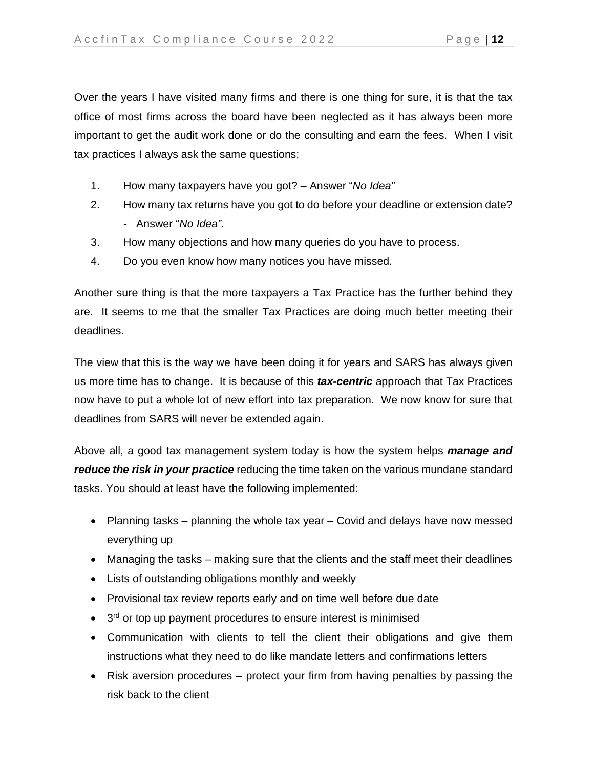Over the years I have visited many firms and there is one thing for sure, it is that the tax office of most firms across the board have been neglected as it has always been more important to get the audit work done or do the consulting and earn the fees. When I visit tax practices I always ask the same questions;

- 1. How many taxpayers have you got? Answer "*No Idea"*
- 2. How many tax returns have you got to do before your deadline or extension date? - Answer "*No Idea".*
- 3. How many objections and how many queries do you have to process.
- 4. Do you even know how many notices you have missed.

Another sure thing is that the more taxpayers a Tax Practice has the further behind they are. It seems to me that the smaller Tax Practices are doing much better meeting their deadlines.

The view that this is the way we have been doing it for years and SARS has always given us more time has to change. It is because of this *tax-centric* approach that Tax Practices now have to put a whole lot of new effort into tax preparation. We now know for sure that deadlines from SARS will never be extended again.

Above all, a good tax management system today is how the system helps *manage and reduce the risk in your practice* reducing the time taken on the various mundane standard tasks. You should at least have the following implemented:

- Planning tasks planning the whole tax year Covid and delays have now messed everything up
- Managing the tasks making sure that the clients and the staff meet their deadlines
- Lists of outstanding obligations monthly and weekly
- Provisional tax review reports early and on time well before due date
- 3<sup>rd</sup> or top up payment procedures to ensure interest is minimised
- Communication with clients to tell the client their obligations and give them instructions what they need to do like mandate letters and confirmations letters
- Risk aversion procedures protect your firm from having penalties by passing the risk back to the client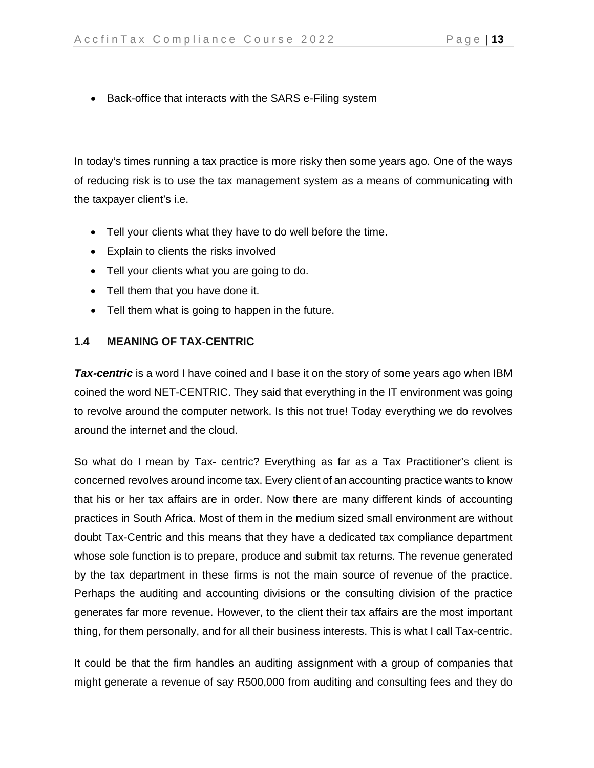• Back-office that interacts with the SARS e-Filing system

In today's times running a tax practice is more risky then some years ago. One of the ways of reducing risk is to use the tax management system as a means of communicating with the taxpayer client's i.e.

- Tell your clients what they have to do well before the time.
- Explain to clients the risks involved
- Tell your clients what you are going to do.
- Tell them that you have done it.
- Tell them what is going to happen in the future.

### **1.4 MEANING OF TAX-CENTRIC**

**Tax-centric** is a word I have coined and I base it on the story of some years ago when IBM coined the word NET-CENTRIC. They said that everything in the IT environment was going to revolve around the computer network. Is this not true! Today everything we do revolves around the internet and the cloud.

So what do I mean by Tax- centric? Everything as far as a Tax Practitioner's client is concerned revolves around income tax. Every client of an accounting practice wants to know that his or her tax affairs are in order. Now there are many different kinds of accounting practices in South Africa. Most of them in the medium sized small environment are without doubt Tax-Centric and this means that they have a dedicated tax compliance department whose sole function is to prepare, produce and submit tax returns. The revenue generated by the tax department in these firms is not the main source of revenue of the practice. Perhaps the auditing and accounting divisions or the consulting division of the practice generates far more revenue. However, to the client their tax affairs are the most important thing, for them personally, and for all their business interests. This is what I call Tax-centric.

It could be that the firm handles an auditing assignment with a group of companies that might generate a revenue of say R500,000 from auditing and consulting fees and they do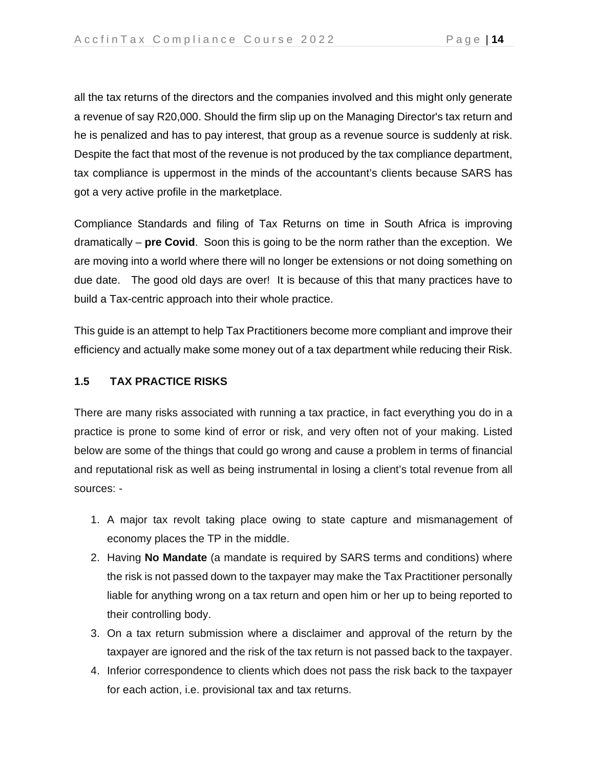all the tax returns of the directors and the companies involved and this might only generate a revenue of say R20,000. Should the firm slip up on the Managing Director's tax return and he is penalized and has to pay interest, that group as a revenue source is suddenly at risk. Despite the fact that most of the revenue is not produced by the tax compliance department, tax compliance is uppermost in the minds of the accountant's clients because SARS has got a very active profile in the marketplace.

Compliance Standards and filing of Tax Returns on time in South Africa is improving dramatically – **pre Covid**. Soon this is going to be the norm rather than the exception. We are moving into a world where there will no longer be extensions or not doing something on due date. The good old days are over! It is because of this that many practices have to build a Tax-centric approach into their whole practice.

This guide is an attempt to help Tax Practitioners become more compliant and improve their efficiency and actually make some money out of a tax department while reducing their Risk.

#### **1.5 TAX PRACTICE RISKS**

There are many risks associated with running a tax practice, in fact everything you do in a practice is prone to some kind of error or risk, and very often not of your making. Listed below are some of the things that could go wrong and cause a problem in terms of financial and reputational risk as well as being instrumental in losing a client's total revenue from all sources: -

- 1. A major tax revolt taking place owing to state capture and mismanagement of economy places the TP in the middle.
- 2. Having **No Mandate** (a mandate is required by SARS terms and conditions) where the risk is not passed down to the taxpayer may make the Tax Practitioner personally liable for anything wrong on a tax return and open him or her up to being reported to their controlling body.
- 3. On a tax return submission where a disclaimer and approval of the return by the taxpayer are ignored and the risk of the tax return is not passed back to the taxpayer.
- 4. Inferior correspondence to clients which does not pass the risk back to the taxpayer for each action, i.e. provisional tax and tax returns.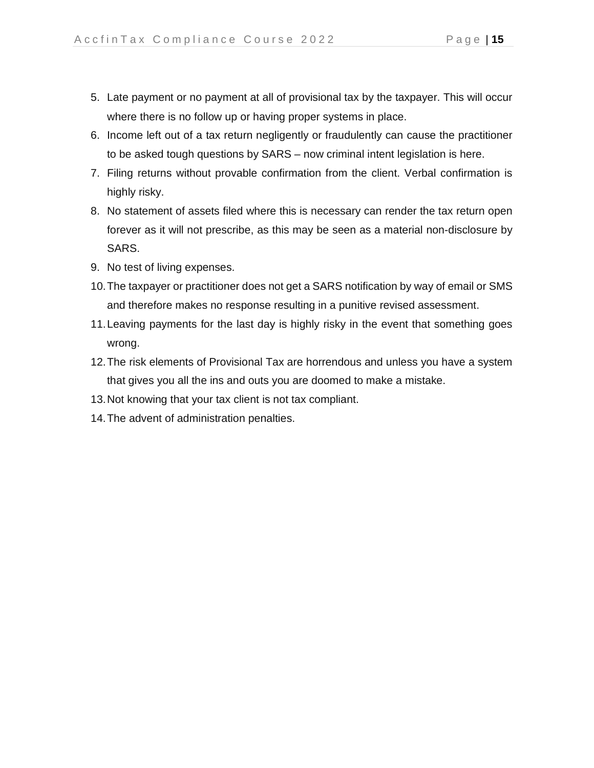- 5. Late payment or no payment at all of provisional tax by the taxpayer. This will occur where there is no follow up or having proper systems in place.
- 6. Income left out of a tax return negligently or fraudulently can cause the practitioner to be asked tough questions by SARS – now criminal intent legislation is here.
- 7. Filing returns without provable confirmation from the client. Verbal confirmation is highly risky.
- 8. No statement of assets filed where this is necessary can render the tax return open forever as it will not prescribe, as this may be seen as a material non-disclosure by SARS.
- 9. No test of living expenses.
- 10. The taxpayer or practitioner does not get a SARS notification by way of email or SMS and therefore makes no response resulting in a punitive revised assessment.
- 11. Leaving payments for the last day is highly risky in the event that something goes wrong.
- 12. The risk elements of Provisional Tax are horrendous and unless you have a system that gives you all the ins and outs you are doomed to make a mistake.
- 13. Not knowing that your tax client is not tax compliant.
- 14. The advent of administration penalties.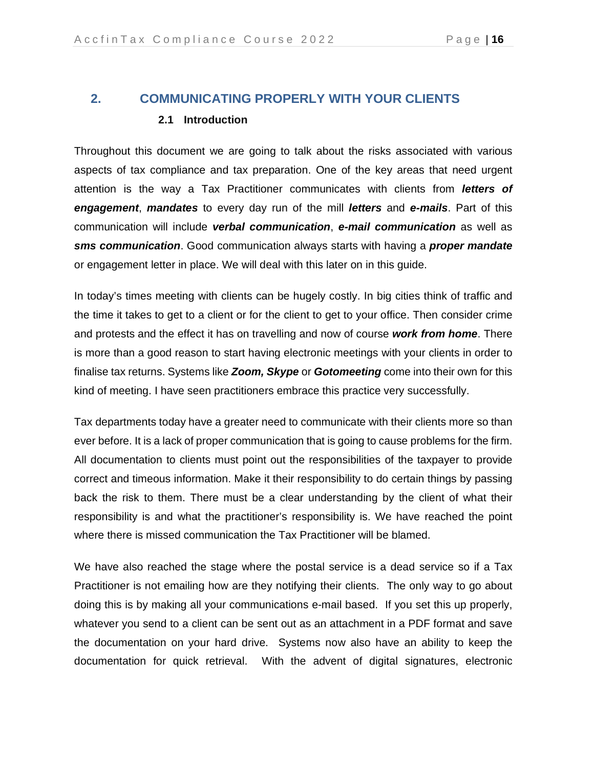## **2. COMMUNICATING PROPERLY WITH YOUR CLIENTS 2.1 Introduction**

Throughout this document we are going to talk about the risks associated with various aspects of tax compliance and tax preparation. One of the key areas that need urgent attention is the way a Tax Practitioner communicates with clients from *letters of engagement*, *mandates* to every day run of the mill *letters* and *e-mails*. Part of this communication will include *verbal communication*, *e-mail communication* as well as *sms communication*. Good communication always starts with having a *proper mandate* or engagement letter in place. We will deal with this later on in this guide.

In today's times meeting with clients can be hugely costly. In big cities think of traffic and the time it takes to get to a client or for the client to get to your office. Then consider crime and protests and the effect it has on travelling and now of course *work from home*. There is more than a good reason to start having electronic meetings with your clients in order to finalise tax returns. Systems like *Zoom, Skype* or *Gotomeeting* come into their own for this kind of meeting. I have seen practitioners embrace this practice very successfully.

Tax departments today have a greater need to communicate with their clients more so than ever before. It is a lack of proper communication that is going to cause problems for the firm. All documentation to clients must point out the responsibilities of the taxpayer to provide correct and timeous information. Make it their responsibility to do certain things by passing back the risk to them. There must be a clear understanding by the client of what their responsibility is and what the practitioner's responsibility is. We have reached the point where there is missed communication the Tax Practitioner will be blamed.

We have also reached the stage where the postal service is a dead service so if a Tax Practitioner is not emailing how are they notifying their clients. The only way to go about doing this is by making all your communications e-mail based. If you set this up properly, whatever you send to a client can be sent out as an attachment in a PDF format and save the documentation on your hard drive. Systems now also have an ability to keep the documentation for quick retrieval. With the advent of digital signatures, electronic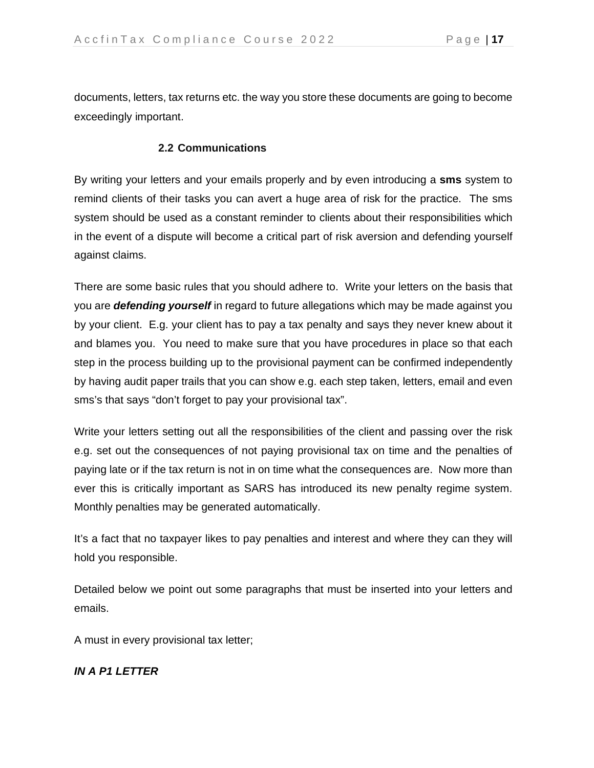documents, letters, tax returns etc. the way you store these documents are going to become exceedingly important.

#### **2.2 Communications**

By writing your letters and your emails properly and by even introducing a **sms** system to remind clients of their tasks you can avert a huge area of risk for the practice. The sms system should be used as a constant reminder to clients about their responsibilities which in the event of a dispute will become a critical part of risk aversion and defending yourself against claims.

There are some basic rules that you should adhere to. Write your letters on the basis that you are *defending yourself* in regard to future allegations which may be made against you by your client. E.g. your client has to pay a tax penalty and says they never knew about it and blames you. You need to make sure that you have procedures in place so that each step in the process building up to the provisional payment can be confirmed independently by having audit paper trails that you can show e.g. each step taken, letters, email and even sms's that says "don't forget to pay your provisional tax".

Write your letters setting out all the responsibilities of the client and passing over the risk e.g. set out the consequences of not paying provisional tax on time and the penalties of paying late or if the tax return is not in on time what the consequences are. Now more than ever this is critically important as SARS has introduced its new penalty regime system. Monthly penalties may be generated automatically.

It's a fact that no taxpayer likes to pay penalties and interest and where they can they will hold you responsible.

Detailed below we point out some paragraphs that must be inserted into your letters and emails.

A must in every provisional tax letter;

#### *IN A P1 LETTER*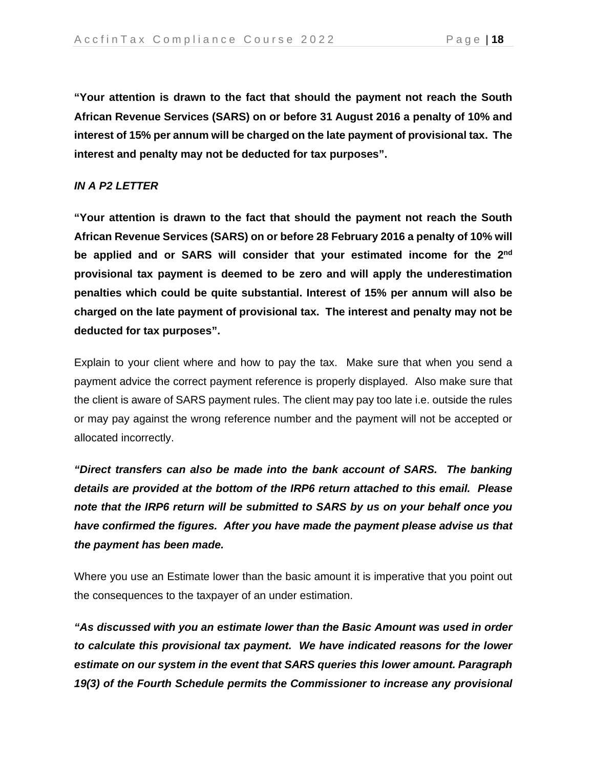**"Your attention is drawn to the fact that should the payment not reach the South African Revenue Services (SARS) on or before 31 August 2016 a penalty of 10% and interest of 15% per annum will be charged on the late payment of provisional tax. The interest and penalty may not be deducted for tax purposes".** 

#### *IN A P2 LETTER*

**"Your attention is drawn to the fact that should the payment not reach the South African Revenue Services (SARS) on or before 28 February 2016 a penalty of 10% will be applied and or SARS will consider that your estimated income for the 2nd provisional tax payment is deemed to be zero and will apply the underestimation penalties which could be quite substantial. Interest of 15% per annum will also be charged on the late payment of provisional tax. The interest and penalty may not be deducted for tax purposes".** 

Explain to your client where and how to pay the tax. Make sure that when you send a payment advice the correct payment reference is properly displayed. Also make sure that the client is aware of SARS payment rules. The client may pay too late i.e. outside the rules or may pay against the wrong reference number and the payment will not be accepted or allocated incorrectly.

*"Direct transfers can also be made into the bank account of SARS. The banking details are provided at the bottom of the IRP6 return attached to this email. Please note that the IRP6 return will be submitted to SARS by us on your behalf once you have confirmed the figures. After you have made the payment please advise us that the payment has been made.* 

Where you use an Estimate lower than the basic amount it is imperative that you point out the consequences to the taxpayer of an under estimation.

*"As discussed with you an estimate lower than the Basic Amount was used in order to calculate this provisional tax payment. We have indicated reasons for the lower estimate on our system in the event that SARS queries this lower amount. Paragraph 19(3) of the Fourth Schedule permits the Commissioner to increase any provisional*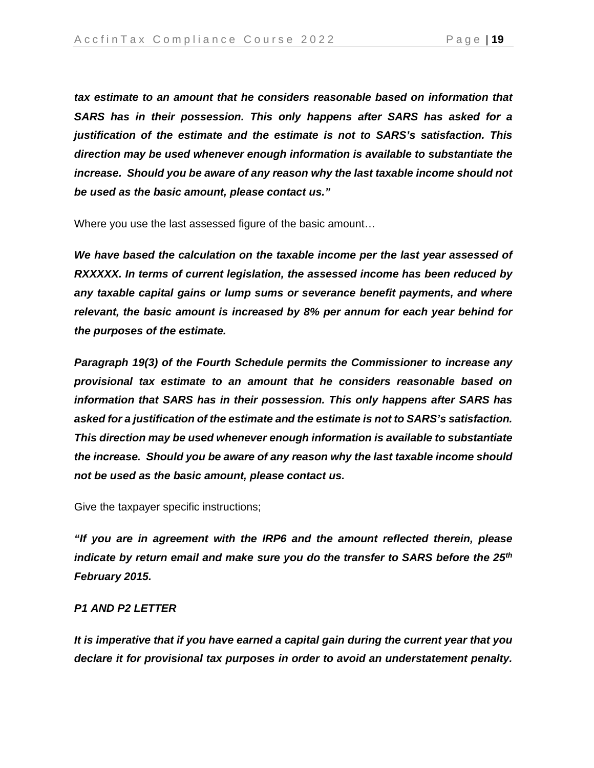*tax estimate to an amount that he considers reasonable based on information that SARS has in their possession. This only happens after SARS has asked for a justification of the estimate and the estimate is not to SARS's satisfaction. This direction may be used whenever enough information is available to substantiate the increase. Should you be aware of any reason why the last taxable income should not be used as the basic amount, please contact us."* 

Where you use the last assessed figure of the basic amount…

*We have based the calculation on the taxable income per the last year assessed of RXXXXX. In terms of current legislation, the assessed income has been reduced by any taxable capital gains or lump sums or severance benefit payments, and where relevant, the basic amount is increased by 8% per annum for each year behind for the purposes of the estimate.* 

*Paragraph 19(3) of the Fourth Schedule permits the Commissioner to increase any provisional tax estimate to an amount that he considers reasonable based on information that SARS has in their possession. This only happens after SARS has asked for a justification of the estimate and the estimate is not to SARS's satisfaction. This direction may be used whenever enough information is available to substantiate the increase. Should you be aware of any reason why the last taxable income should not be used as the basic amount, please contact us.* 

Give the taxpayer specific instructions;

*"If you are in agreement with the IRP6 and the amount reflected therein, please indicate by return email and make sure you do the transfer to SARS before the 25th February 2015.* 

#### *P1 AND P2 LETTER*

*It is imperative that if you have earned a capital gain during the current year that you declare it for provisional tax purposes in order to avoid an understatement penalty.*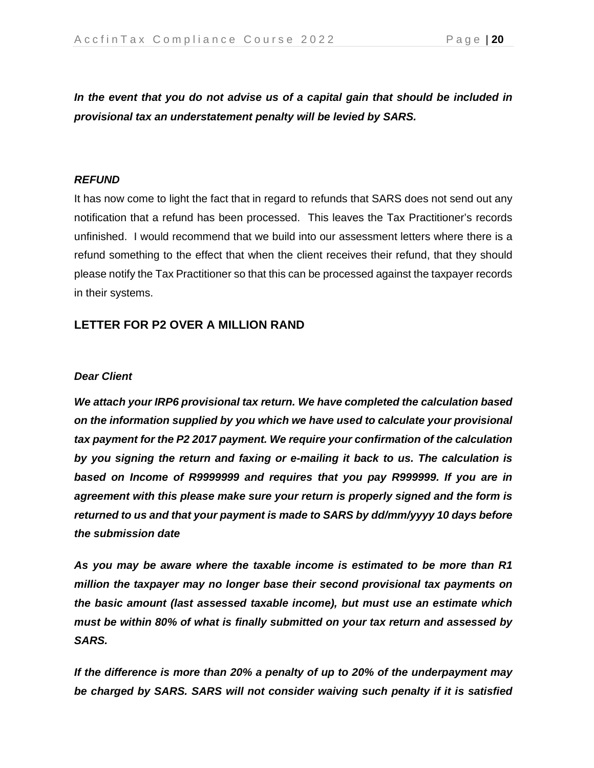*In the event that you do not advise us of a capital gain that should be included in provisional tax an understatement penalty will be levied by SARS.* 

#### *REFUND*

It has now come to light the fact that in regard to refunds that SARS does not send out any notification that a refund has been processed. This leaves the Tax Practitioner's records unfinished. I would recommend that we build into our assessment letters where there is a refund something to the effect that when the client receives their refund, that they should please notify the Tax Practitioner so that this can be processed against the taxpayer records in their systems.

### **LETTER FOR P2 OVER A MILLION RAND**

#### *Dear Client*

*We attach your IRP6 provisional tax return. We have completed the calculation based on the information supplied by you which we have used to calculate your provisional tax payment for the P2 2017 payment. We require your confirmation of the calculation by you signing the return and faxing or e-mailing it back to us. The calculation is based on Income of R9999999 and requires that you pay R999999. If you are in agreement with this please make sure your return is properly signed and the form is returned to us and that your payment is made to SARS by dd/mm/yyyy 10 days before the submission date* 

*As you may be aware where the taxable income is estimated to be more than R1 million the taxpayer may no longer base their second provisional tax payments on the basic amount (last assessed taxable income), but must use an estimate which must be within 80% of what is finally submitted on your tax return and assessed by SARS.* 

*If the difference is more than 20% a penalty of up to 20% of the underpayment may be charged by SARS. SARS will not consider waiving such penalty if it is satisfied*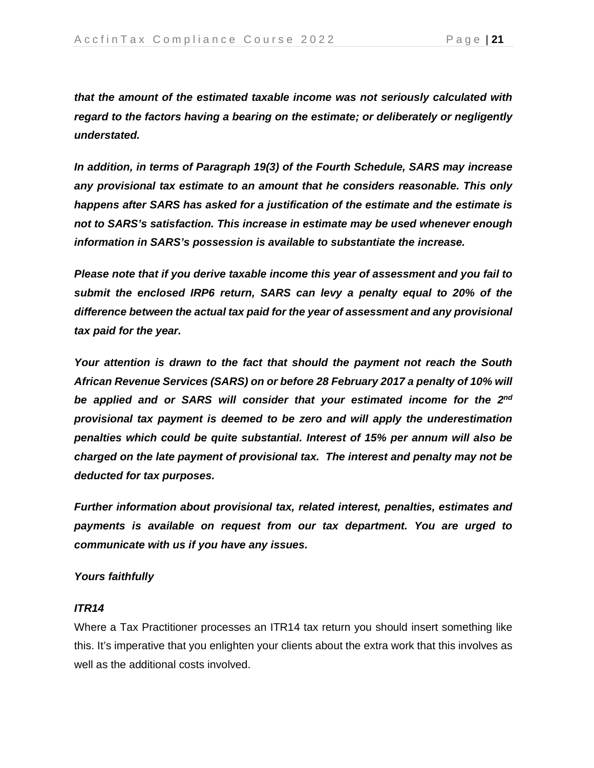*that the amount of the estimated taxable income was not seriously calculated with regard to the factors having a bearing on the estimate; or deliberately or negligently understated.* 

*In addition, in terms of Paragraph 19(3) of the Fourth Schedule, SARS may increase any provisional tax estimate to an amount that he considers reasonable. This only happens after SARS has asked for a justification of the estimate and the estimate is not to SARS's satisfaction. This increase in estimate may be used whenever enough information in SARS's possession is available to substantiate the increase.* 

*Please note that if you derive taxable income this year of assessment and you fail to submit the enclosed IRP6 return, SARS can levy a penalty equal to 20% of the difference between the actual tax paid for the year of assessment and any provisional tax paid for the year.* 

*Your attention is drawn to the fact that should the payment not reach the South African Revenue Services (SARS) on or before 28 February 2017 a penalty of 10% will be applied and or SARS will consider that your estimated income for the 2nd provisional tax payment is deemed to be zero and will apply the underestimation penalties which could be quite substantial. Interest of 15% per annum will also be charged on the late payment of provisional tax. The interest and penalty may not be deducted for tax purposes.* 

*Further information about provisional tax, related interest, penalties, estimates and payments is available on request from our tax department. You are urged to communicate with us if you have any issues.* 

#### *Yours faithfully*

#### *ITR14*

Where a Tax Practitioner processes an ITR14 tax return you should insert something like this. It's imperative that you enlighten your clients about the extra work that this involves as well as the additional costs involved.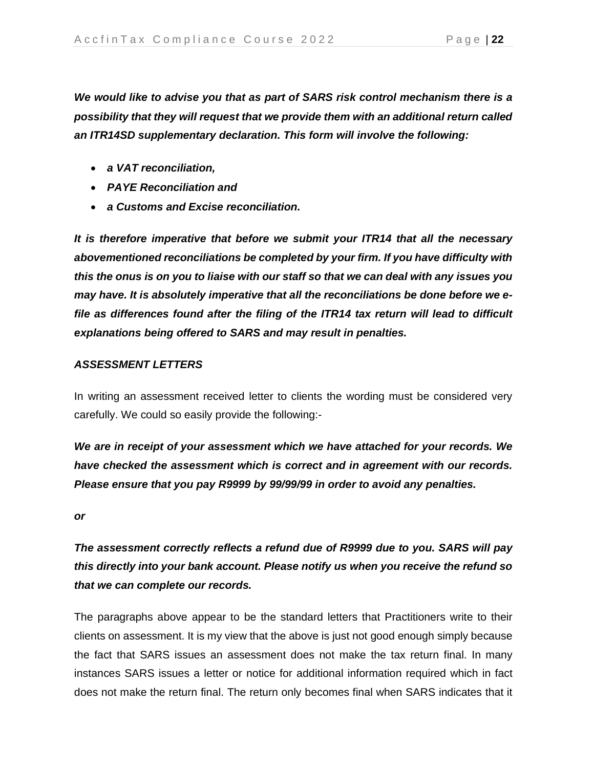*We would like to advise you that as part of SARS risk control mechanism there is a possibility that they will request that we provide them with an additional return called an ITR14SD supplementary declaration. This form will involve the following:* 

- *a VAT reconciliation,*
- *PAYE Reconciliation and*
- *a Customs and Excise reconciliation.*

*It is therefore imperative that before we submit your ITR14 that all the necessary abovementioned reconciliations be completed by your firm. If you have difficulty with this the onus is on you to liaise with our staff so that we can deal with any issues you may have. It is absolutely imperative that all the reconciliations be done before we efile as differences found after the filing of the ITR14 tax return will lead to difficult explanations being offered to SARS and may result in penalties.* 

#### *ASSESSMENT LETTERS*

In writing an assessment received letter to clients the wording must be considered very carefully. We could so easily provide the following:-

*We are in receipt of your assessment which we have attached for your records. We have checked the assessment which is correct and in agreement with our records. Please ensure that you pay R9999 by 99/99/99 in order to avoid any penalties.* 

*or* 

*The assessment correctly reflects a refund due of R9999 due to you. SARS will pay this directly into your bank account. Please notify us when you receive the refund so that we can complete our records.* 

The paragraphs above appear to be the standard letters that Practitioners write to their clients on assessment. It is my view that the above is just not good enough simply because the fact that SARS issues an assessment does not make the tax return final. In many instances SARS issues a letter or notice for additional information required which in fact does not make the return final. The return only becomes final when SARS indicates that it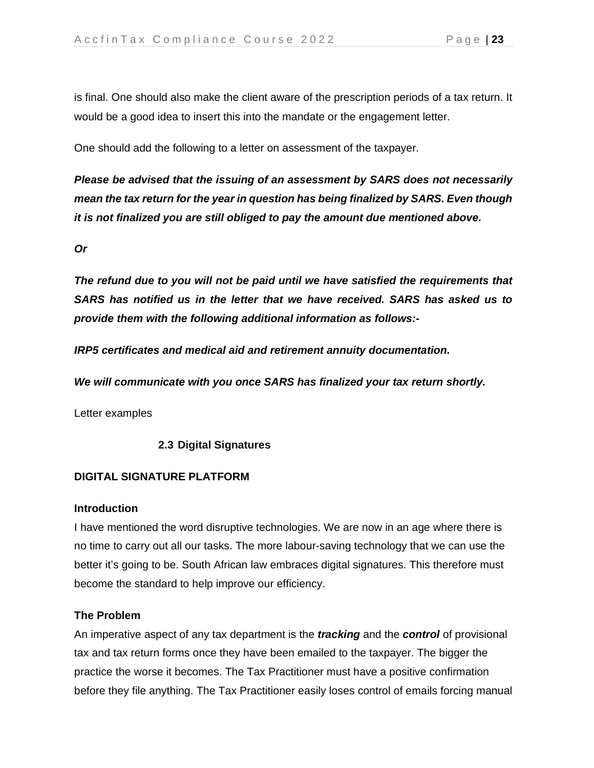is final. One should also make the client aware of the prescription periods of a tax return. It would be a good idea to insert this into the mandate or the engagement letter.

One should add the following to a letter on assessment of the taxpayer.

*Please be advised that the issuing of an assessment by SARS does not necessarily mean the tax return for the year in question has being finalized by SARS. Even though it is not finalized you are still obliged to pay the amount due mentioned above.* 

*Or* 

*The refund due to you will not be paid until we have satisfied the requirements that SARS has notified us in the letter that we have received. SARS has asked us to provide them with the following additional information as follows:-* 

*IRP5 certificates and medical aid and retirement annuity documentation.* 

*We will communicate with you once SARS has finalized your tax return shortly.* 

Letter examples

**2.3 Digital Signatures** 

#### **DIGITAL SIGNATURE PLATFORM**

#### **Introduction**

I have mentioned the word disruptive technologies. We are now in an age where there is no time to carry out all our tasks. The more labour-saving technology that we can use the better it's going to be. South African law embraces digital signatures. This therefore must become the standard to help improve our efficiency.

#### **The Problem**

An imperative aspect of any tax department is the *tracking* and the *control* of provisional tax and tax return forms once they have been emailed to the taxpayer. The bigger the practice the worse it becomes. The Tax Practitioner must have a positive confirmation before they file anything. The Tax Practitioner easily loses control of emails forcing manual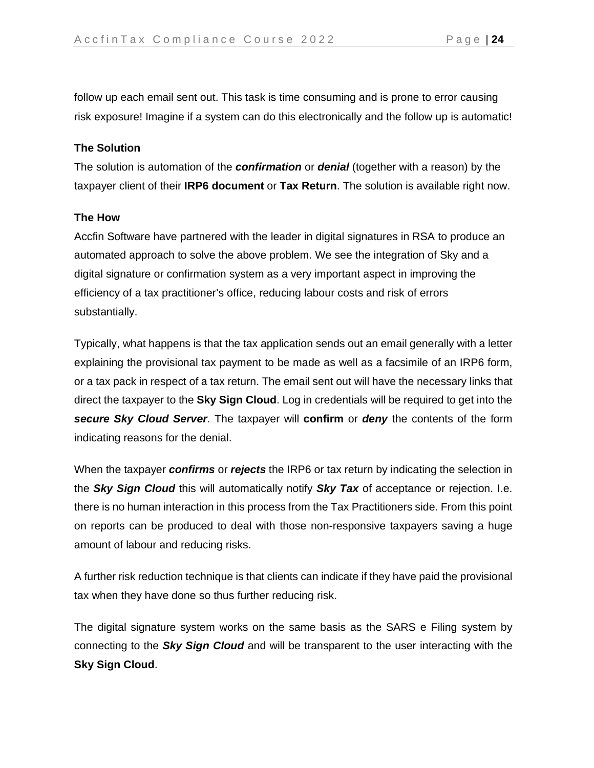follow up each email sent out. This task is time consuming and is prone to error causing risk exposure! Imagine if a system can do this electronically and the follow up is automatic!

#### **The Solution**

The solution is automation of the *confirmation* or *denial* (together with a reason) by the taxpayer client of their **IRP6 document** or **Tax Return**. The solution is available right now.

#### **The How**

Accfin Software have partnered with the leader in digital signatures in RSA to produce an automated approach to solve the above problem. We see the integration of Sky and a digital signature or confirmation system as a very important aspect in improving the efficiency of a tax practitioner's office, reducing labour costs and risk of errors substantially.

Typically, what happens is that the tax application sends out an email generally with a letter explaining the provisional tax payment to be made as well as a facsimile of an IRP6 form, or a tax pack in respect of a tax return. The email sent out will have the necessary links that direct the taxpayer to the **Sky Sign Cloud**. Log in credentials will be required to get into the *secure Sky Cloud Server*. The taxpayer will **confirm** or *deny* the contents of the form indicating reasons for the denial.

When the taxpayer *confirms* or *rejects* the IRP6 or tax return by indicating the selection in the *Sky Sign Cloud* this will automatically notify *Sky Tax* of acceptance or rejection. I.e. there is no human interaction in this process from the Tax Practitioners side. From this point on reports can be produced to deal with those non-responsive taxpayers saving a huge amount of labour and reducing risks.

A further risk reduction technique is that clients can indicate if they have paid the provisional tax when they have done so thus further reducing risk.

The digital signature system works on the same basis as the SARS e Filing system by connecting to the *Sky Sign Cloud* and will be transparent to the user interacting with the **Sky Sign Cloud**.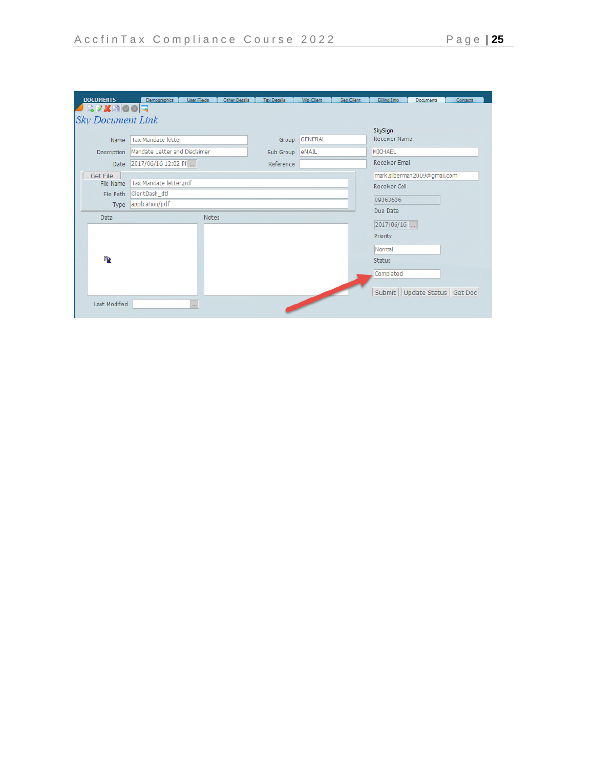| <b>DOCUMENTS</b>                           | Demographics<br><b>User Fields</b> | Other Details<br><b>Tax Details</b> | Wip Client     | Sec Client | <b>Billing Info</b>   | Documents                                            | Contacts |  |
|--------------------------------------------|------------------------------------|-------------------------------------|----------------|------------|-----------------------|------------------------------------------------------|----------|--|
| <b>BZXBOOD</b><br><b>Sky Document Link</b> |                                    |                                     |                |            |                       |                                                      |          |  |
|                                            |                                    |                                     |                |            | SkySign               |                                                      |          |  |
| Name                                       | Tax Mandate letter                 | Group                               | <b>GENERAL</b> |            | <b>Receiver Name</b>  |                                                      |          |  |
| Description                                | Mandate Letter and Disclaimer      | Sub Group                           | eMAIL          |            | <b>MICHAEL</b>        |                                                      |          |  |
| <b>Date</b>                                | 2017/06/16 12:02 PI                | Reference                           |                |            | <b>Receiver Email</b> |                                                      |          |  |
| Get File<br>File Name                      | Tax Mandate letter.pdf             |                                     |                |            |                       | mark.silberman2009@gmail.com<br><b>Receiver Cell</b> |          |  |
| File Path                                  | ClientDash_dtl                     |                                     |                |            |                       |                                                      |          |  |
| Type                                       | application/pdf                    |                                     |                |            |                       | 09363636<br>Due Date                                 |          |  |
| Data                                       | Notes                              |                                     |                |            | $2017/06/16$          |                                                      |          |  |
|                                            |                                    |                                     |                |            | Priority              |                                                      |          |  |
|                                            |                                    |                                     |                |            | Normal                |                                                      |          |  |
| e,                                         |                                    |                                     |                |            | <b>Status</b>         |                                                      |          |  |
|                                            |                                    |                                     |                |            | Completed             |                                                      |          |  |
|                                            |                                    |                                     |                |            | Submit                | Update Status Get Doc                                |          |  |
| Last Modified                              | $\cdots$                           |                                     |                |            |                       |                                                      |          |  |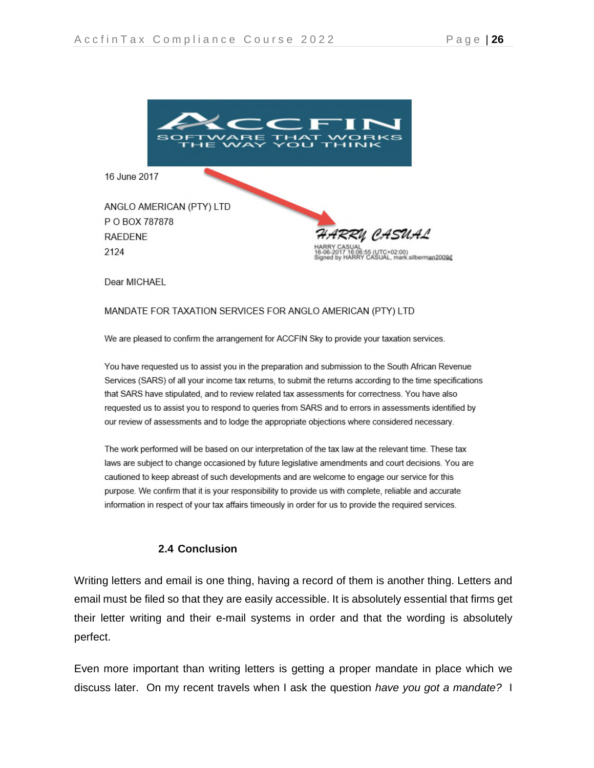

#### MANDATE FOR TAXATION SERVICES FOR ANGLO AMERICAN (PTY) LTD

We are pleased to confirm the arrangement for ACCFIN Sky to provide your taxation services.

You have requested us to assist you in the preparation and submission to the South African Revenue Services (SARS) of all your income tax returns, to submit the returns according to the time specifications that SARS have stipulated, and to review related tax assessments for correctness. You have also requested us to assist you to respond to queries from SARS and to errors in assessments identified by our review of assessments and to lodge the appropriate objections where considered necessary.

The work performed will be based on our interpretation of the tax law at the relevant time. These tax laws are subject to change occasioned by future legislative amendments and court decisions. You are cautioned to keep abreast of such developments and are welcome to engage our service for this purpose. We confirm that it is your responsibility to provide us with complete, reliable and accurate information in respect of your tax affairs timeously in order for us to provide the required services.

#### **2.4 Conclusion**

Writing letters and email is one thing, having a record of them is another thing. Letters and email must be filed so that they are easily accessible. It is absolutely essential that firms get their letter writing and their e-mail systems in order and that the wording is absolutely perfect.

Even more important than writing letters is getting a proper mandate in place which we discuss later. On my recent travels when I ask the question *have you got a mandate?* I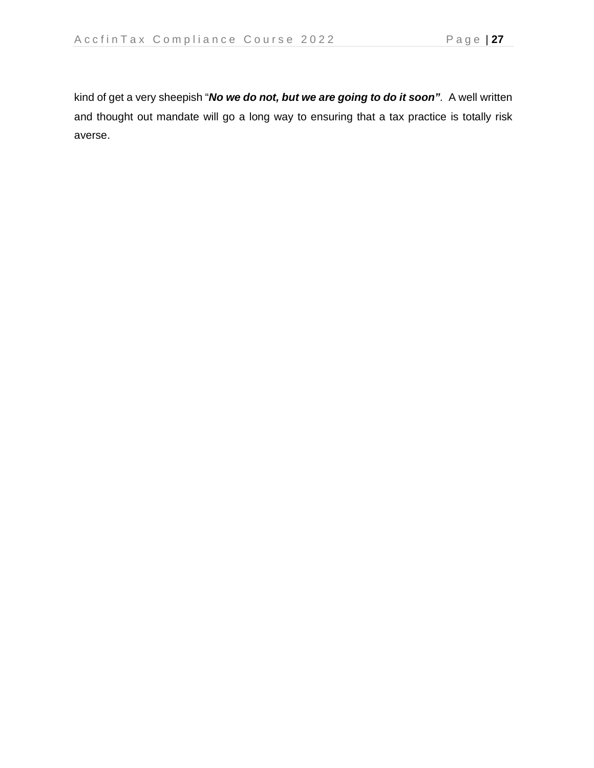kind of get a very sheepish "*No we do not, but we are going to do it soon".* A well written and thought out mandate will go a long way to ensuring that a tax practice is totally risk averse.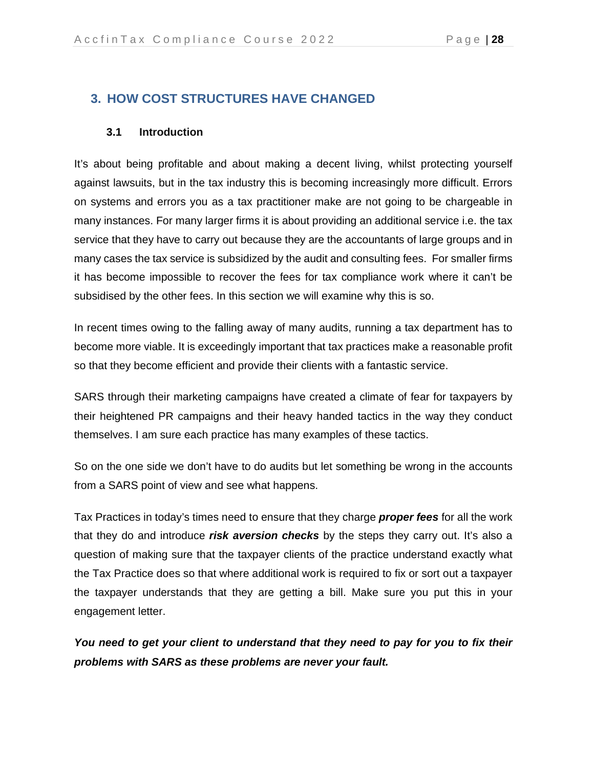## **3. HOW COST STRUCTURES HAVE CHANGED**

#### **3.1 Introduction**

It's about being profitable and about making a decent living, whilst protecting yourself against lawsuits, but in the tax industry this is becoming increasingly more difficult. Errors on systems and errors you as a tax practitioner make are not going to be chargeable in many instances. For many larger firms it is about providing an additional service i.e. the tax service that they have to carry out because they are the accountants of large groups and in many cases the tax service is subsidized by the audit and consulting fees. For smaller firms it has become impossible to recover the fees for tax compliance work where it can't be subsidised by the other fees. In this section we will examine why this is so.

In recent times owing to the falling away of many audits, running a tax department has to become more viable. It is exceedingly important that tax practices make a reasonable profit so that they become efficient and provide their clients with a fantastic service.

SARS through their marketing campaigns have created a climate of fear for taxpayers by their heightened PR campaigns and their heavy handed tactics in the way they conduct themselves. I am sure each practice has many examples of these tactics.

So on the one side we don't have to do audits but let something be wrong in the accounts from a SARS point of view and see what happens.

Tax Practices in today's times need to ensure that they charge *proper fees* for all the work that they do and introduce *risk aversion checks* by the steps they carry out. It's also a question of making sure that the taxpayer clients of the practice understand exactly what the Tax Practice does so that where additional work is required to fix or sort out a taxpayer the taxpayer understands that they are getting a bill. Make sure you put this in your engagement letter.

*You need to get your client to understand that they need to pay for you to fix their problems with SARS as these problems are never your fault.*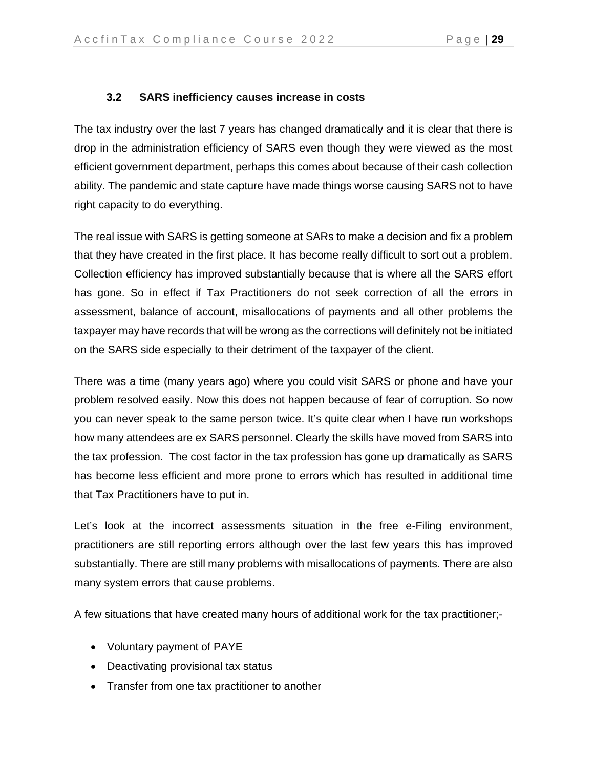#### **3.2 SARS inefficiency causes increase in costs**

The tax industry over the last 7 years has changed dramatically and it is clear that there is drop in the administration efficiency of SARS even though they were viewed as the most efficient government department, perhaps this comes about because of their cash collection ability. The pandemic and state capture have made things worse causing SARS not to have right capacity to do everything.

The real issue with SARS is getting someone at SARs to make a decision and fix a problem that they have created in the first place. It has become really difficult to sort out a problem. Collection efficiency has improved substantially because that is where all the SARS effort has gone. So in effect if Tax Practitioners do not seek correction of all the errors in assessment, balance of account, misallocations of payments and all other problems the taxpayer may have records that will be wrong as the corrections will definitely not be initiated on the SARS side especially to their detriment of the taxpayer of the client.

There was a time (many years ago) where you could visit SARS or phone and have your problem resolved easily. Now this does not happen because of fear of corruption. So now you can never speak to the same person twice. It's quite clear when I have run workshops how many attendees are ex SARS personnel. Clearly the skills have moved from SARS into the tax profession. The cost factor in the tax profession has gone up dramatically as SARS has become less efficient and more prone to errors which has resulted in additional time that Tax Practitioners have to put in.

Let's look at the incorrect assessments situation in the free e-Filing environment, practitioners are still reporting errors although over the last few years this has improved substantially. There are still many problems with misallocations of payments. There are also many system errors that cause problems.

A few situations that have created many hours of additional work for the tax practitioner;-

- Voluntary payment of PAYE
- Deactivating provisional tax status
- Transfer from one tax practitioner to another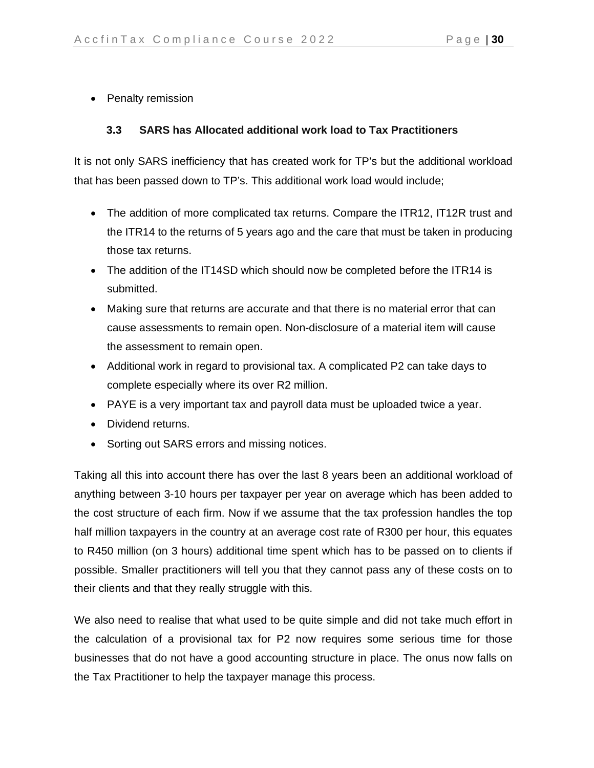• Penalty remission

#### **3.3 SARS has Allocated additional work load to Tax Practitioners**

It is not only SARS inefficiency that has created work for TP's but the additional workload that has been passed down to TP's. This additional work load would include;

- The addition of more complicated tax returns. Compare the ITR12, IT12R trust and the ITR14 to the returns of 5 years ago and the care that must be taken in producing those tax returns.
- The addition of the IT14SD which should now be completed before the ITR14 is submitted.
- Making sure that returns are accurate and that there is no material error that can cause assessments to remain open. Non-disclosure of a material item will cause the assessment to remain open.
- Additional work in regard to provisional tax. A complicated P2 can take days to complete especially where its over R2 million.
- PAYE is a very important tax and payroll data must be uploaded twice a year.
- Dividend returns.
- Sorting out SARS errors and missing notices.

Taking all this into account there has over the last 8 years been an additional workload of anything between 3-10 hours per taxpayer per year on average which has been added to the cost structure of each firm. Now if we assume that the tax profession handles the top half million taxpayers in the country at an average cost rate of R300 per hour, this equates to R450 million (on 3 hours) additional time spent which has to be passed on to clients if possible. Smaller practitioners will tell you that they cannot pass any of these costs on to their clients and that they really struggle with this.

We also need to realise that what used to be quite simple and did not take much effort in the calculation of a provisional tax for P2 now requires some serious time for those businesses that do not have a good accounting structure in place. The onus now falls on the Tax Practitioner to help the taxpayer manage this process.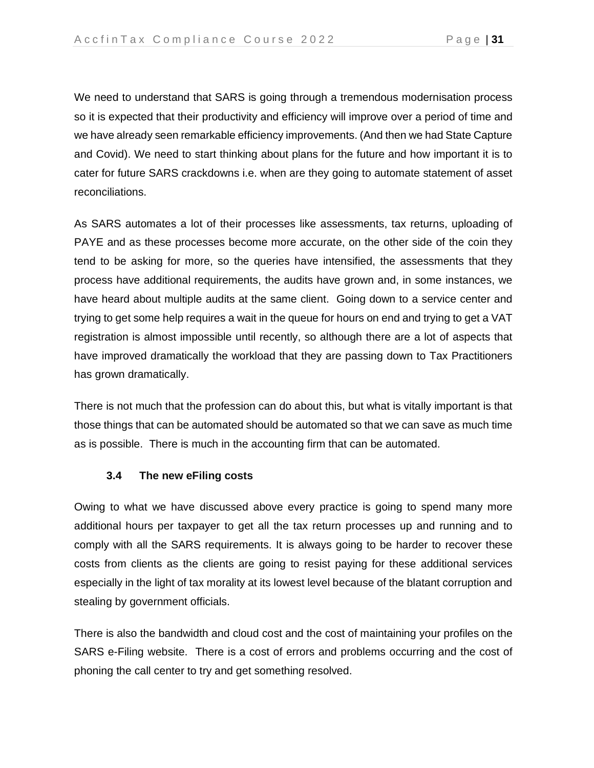We need to understand that SARS is going through a tremendous modernisation process so it is expected that their productivity and efficiency will improve over a period of time and we have already seen remarkable efficiency improvements. (And then we had State Capture and Covid). We need to start thinking about plans for the future and how important it is to cater for future SARS crackdowns i.e. when are they going to automate statement of asset reconciliations.

As SARS automates a lot of their processes like assessments, tax returns, uploading of PAYE and as these processes become more accurate, on the other side of the coin they tend to be asking for more, so the queries have intensified, the assessments that they process have additional requirements, the audits have grown and, in some instances, we have heard about multiple audits at the same client. Going down to a service center and trying to get some help requires a wait in the queue for hours on end and trying to get a VAT registration is almost impossible until recently, so although there are a lot of aspects that have improved dramatically the workload that they are passing down to Tax Practitioners has grown dramatically.

There is not much that the profession can do about this, but what is vitally important is that those things that can be automated should be automated so that we can save as much time as is possible. There is much in the accounting firm that can be automated.

#### **3.4 The new eFiling costs**

Owing to what we have discussed above every practice is going to spend many more additional hours per taxpayer to get all the tax return processes up and running and to comply with all the SARS requirements. It is always going to be harder to recover these costs from clients as the clients are going to resist paying for these additional services especially in the light of tax morality at its lowest level because of the blatant corruption and stealing by government officials.

There is also the bandwidth and cloud cost and the cost of maintaining your profiles on the SARS e-Filing website. There is a cost of errors and problems occurring and the cost of phoning the call center to try and get something resolved.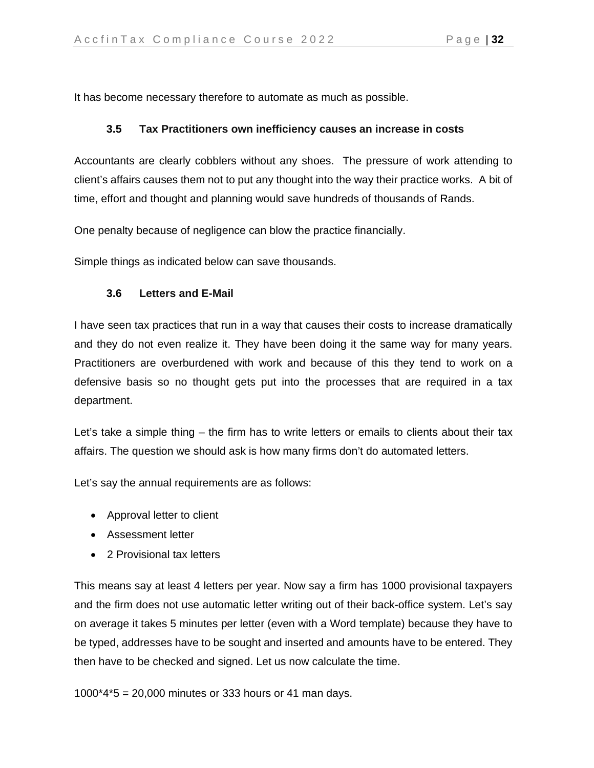It has become necessary therefore to automate as much as possible.

#### **3.5 Tax Practitioners own inefficiency causes an increase in costs**

Accountants are clearly cobblers without any shoes. The pressure of work attending to client's affairs causes them not to put any thought into the way their practice works. A bit of time, effort and thought and planning would save hundreds of thousands of Rands.

One penalty because of negligence can blow the practice financially.

Simple things as indicated below can save thousands.

#### **3.6 Letters and E-Mail**

I have seen tax practices that run in a way that causes their costs to increase dramatically and they do not even realize it. They have been doing it the same way for many years. Practitioners are overburdened with work and because of this they tend to work on a defensive basis so no thought gets put into the processes that are required in a tax department.

Let's take a simple thing – the firm has to write letters or emails to clients about their tax affairs. The question we should ask is how many firms don't do automated letters.

Let's say the annual requirements are as follows:

- Approval letter to client
- Assessment letter
- 2 Provisional tax letters

This means say at least 4 letters per year. Now say a firm has 1000 provisional taxpayers and the firm does not use automatic letter writing out of their back-office system. Let's say on average it takes 5 minutes per letter (even with a Word template) because they have to be typed, addresses have to be sought and inserted and amounts have to be entered. They then have to be checked and signed. Let us now calculate the time.

1000\*4\*5 = 20,000 minutes or 333 hours or 41 man days.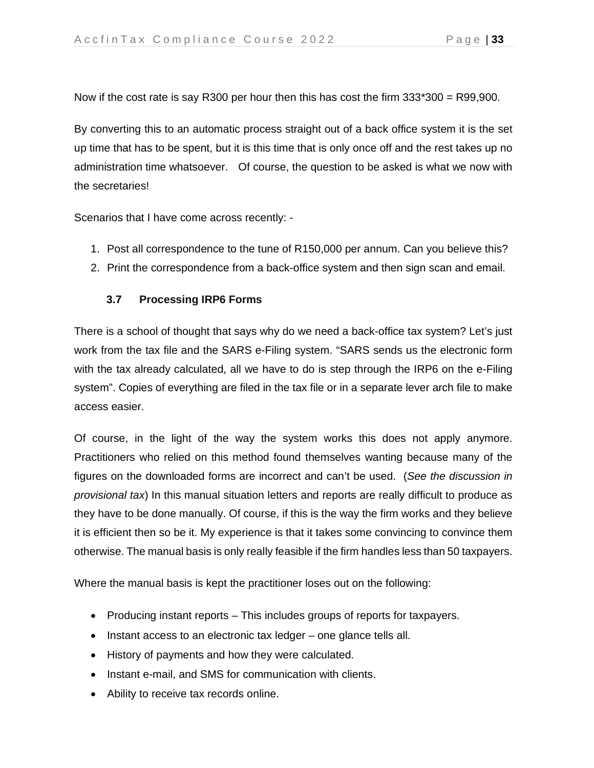Now if the cost rate is say R300 per hour then this has cost the firm 333\*300 = R99,900.

By converting this to an automatic process straight out of a back office system it is the set up time that has to be spent, but it is this time that is only once off and the rest takes up no administration time whatsoever. Of course, the question to be asked is what we now with the secretaries!

Scenarios that I have come across recently: -

- 1. Post all correspondence to the tune of R150,000 per annum. Can you believe this?
- 2. Print the correspondence from a back-office system and then sign scan and email.

#### **3.7 Processing IRP6 Forms**

There is a school of thought that says why do we need a back-office tax system? Let's just work from the tax file and the SARS e-Filing system. "SARS sends us the electronic form with the tax already calculated, all we have to do is step through the IRP6 on the e-Filing system". Copies of everything are filed in the tax file or in a separate lever arch file to make access easier.

Of course, in the light of the way the system works this does not apply anymore. Practitioners who relied on this method found themselves wanting because many of the figures on the downloaded forms are incorrect and can't be used. (*See the discussion in provisional tax*) In this manual situation letters and reports are really difficult to produce as they have to be done manually. Of course, if this is the way the firm works and they believe it is efficient then so be it. My experience is that it takes some convincing to convince them otherwise. The manual basis is only really feasible if the firm handles less than 50 taxpayers.

Where the manual basis is kept the practitioner loses out on the following:

- Producing instant reports This includes groups of reports for taxpayers.
- Instant access to an electronic tax ledger one glance tells all.
- History of payments and how they were calculated.
- Instant e-mail, and SMS for communication with clients.
- Ability to receive tax records online.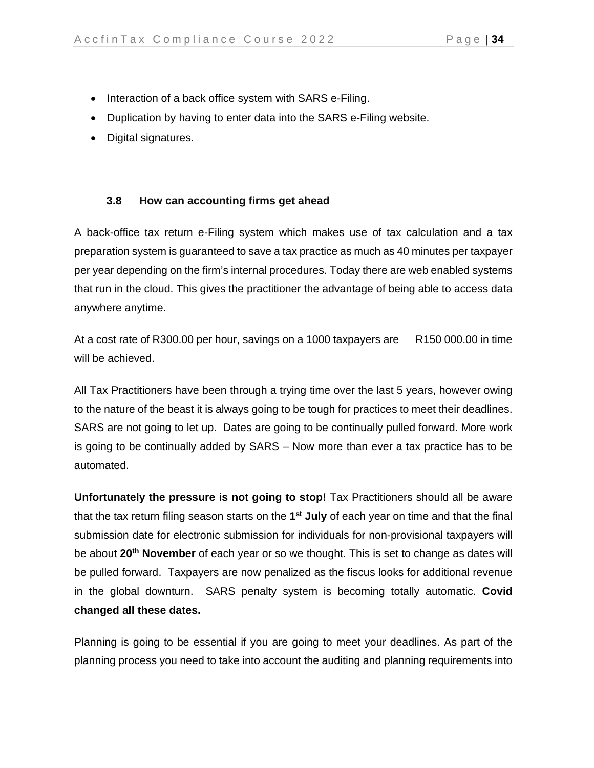- Interaction of a back office system with SARS e-Filing.
- Duplication by having to enter data into the SARS e-Filing website.
- Digital signatures.

#### **3.8 How can accounting firms get ahead**

A back-office tax return e-Filing system which makes use of tax calculation and a tax preparation system is guaranteed to save a tax practice as much as 40 minutes per taxpayer per year depending on the firm's internal procedures. Today there are web enabled systems that run in the cloud. This gives the practitioner the advantage of being able to access data anywhere anytime.

At a cost rate of R300.00 per hour, savings on a 1000 taxpayers are R150 000.00 in time will be achieved.

All Tax Practitioners have been through a trying time over the last 5 years, however owing to the nature of the beast it is always going to be tough for practices to meet their deadlines. SARS are not going to let up. Dates are going to be continually pulled forward. More work is going to be continually added by SARS – Now more than ever a tax practice has to be automated.

**Unfortunately the pressure is not going to stop!** Tax Practitioners should all be aware that the tax return filing season starts on the **1 st July** of each year on time and that the final submission date for electronic submission for individuals for non-provisional taxpayers will be about **20th November** of each year or so we thought. This is set to change as dates will be pulled forward. Taxpayers are now penalized as the fiscus looks for additional revenue in the global downturn. SARS penalty system is becoming totally automatic. **Covid changed all these dates.** 

Planning is going to be essential if you are going to meet your deadlines. As part of the planning process you need to take into account the auditing and planning requirements into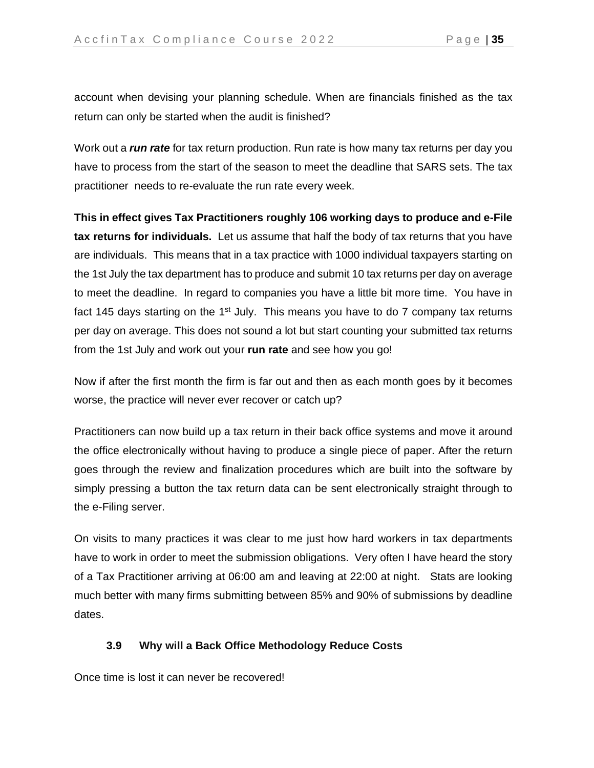account when devising your planning schedule. When are financials finished as the tax return can only be started when the audit is finished?

Work out a *run rate* for tax return production. Run rate is how many tax returns per day you have to process from the start of the season to meet the deadline that SARS sets. The tax practitioner needs to re-evaluate the run rate every week.

**This in effect gives Tax Practitioners roughly 106 working days to produce and e-File tax returns for individuals.** Let us assume that half the body of tax returns that you have are individuals. This means that in a tax practice with 1000 individual taxpayers starting on the 1st July the tax department has to produce and submit 10 tax returns per day on average to meet the deadline. In regard to companies you have a little bit more time. You have in fact 145 days starting on the 1<sup>st</sup> July. This means you have to do 7 company tax returns per day on average. This does not sound a lot but start counting your submitted tax returns from the 1st July and work out your **run rate** and see how you go!

Now if after the first month the firm is far out and then as each month goes by it becomes worse, the practice will never ever recover or catch up?

Practitioners can now build up a tax return in their back office systems and move it around the office electronically without having to produce a single piece of paper. After the return goes through the review and finalization procedures which are built into the software by simply pressing a button the tax return data can be sent electronically straight through to the e-Filing server.

On visits to many practices it was clear to me just how hard workers in tax departments have to work in order to meet the submission obligations. Very often I have heard the story of a Tax Practitioner arriving at 06:00 am and leaving at 22:00 at night. Stats are looking much better with many firms submitting between 85% and 90% of submissions by deadline dates.

#### **3.9 Why will a Back Office Methodology Reduce Costs**

Once time is lost it can never be recovered!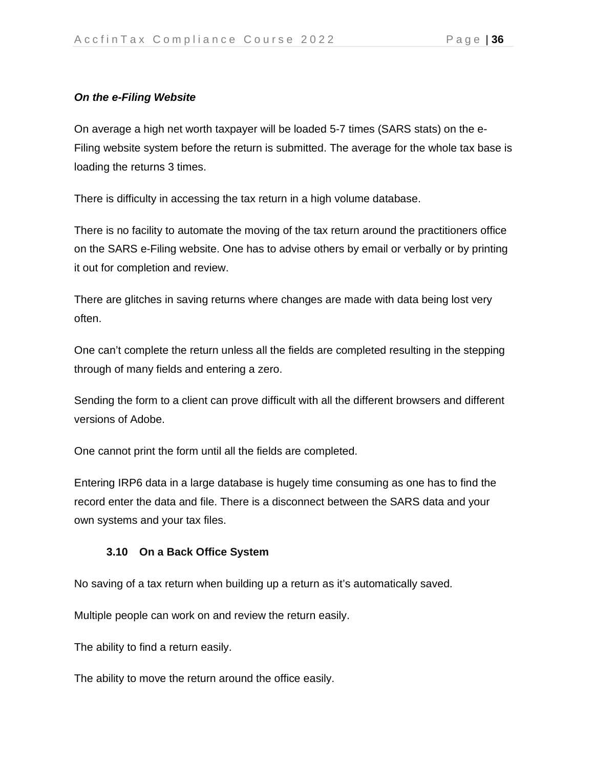#### *On the e-Filing Website*

On average a high net worth taxpayer will be loaded 5-7 times (SARS stats) on the e-Filing website system before the return is submitted. The average for the whole tax base is loading the returns 3 times.

There is difficulty in accessing the tax return in a high volume database.

There is no facility to automate the moving of the tax return around the practitioners office on the SARS e-Filing website. One has to advise others by email or verbally or by printing it out for completion and review.

There are glitches in saving returns where changes are made with data being lost very often.

One can't complete the return unless all the fields are completed resulting in the stepping through of many fields and entering a zero.

Sending the form to a client can prove difficult with all the different browsers and different versions of Adobe.

One cannot print the form until all the fields are completed.

Entering IRP6 data in a large database is hugely time consuming as one has to find the record enter the data and file. There is a disconnect between the SARS data and your own systems and your tax files.

#### **3.10 On a Back Office System**

No saving of a tax return when building up a return as it's automatically saved.

Multiple people can work on and review the return easily.

The ability to find a return easily.

The ability to move the return around the office easily.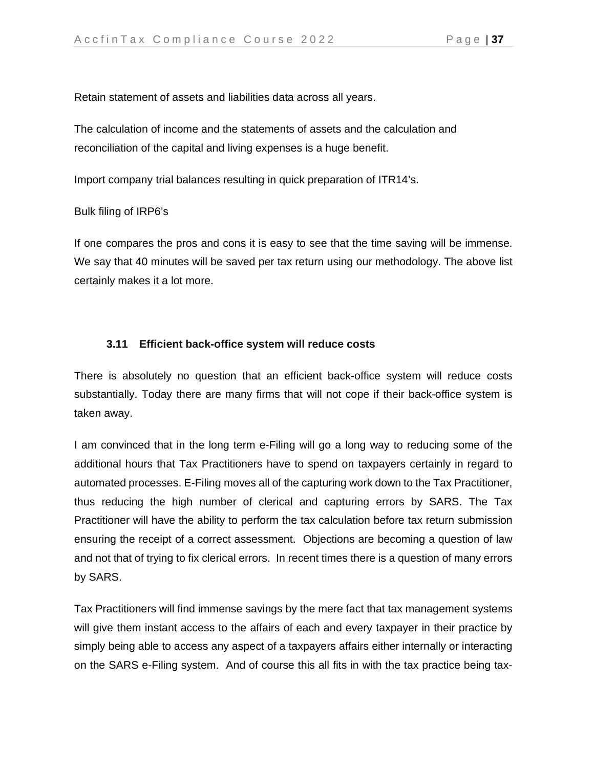Retain statement of assets and liabilities data across all years.

The calculation of income and the statements of assets and the calculation and reconciliation of the capital and living expenses is a huge benefit.

Import company trial balances resulting in quick preparation of ITR14's.

#### Bulk filing of IRP6's

If one compares the pros and cons it is easy to see that the time saving will be immense. We say that 40 minutes will be saved per tax return using our methodology. The above list certainly makes it a lot more.

### **3.11 Efficient back-office system will reduce costs**

There is absolutely no question that an efficient back-office system will reduce costs substantially. Today there are many firms that will not cope if their back-office system is taken away.

I am convinced that in the long term e-Filing will go a long way to reducing some of the additional hours that Tax Practitioners have to spend on taxpayers certainly in regard to automated processes. E-Filing moves all of the capturing work down to the Tax Practitioner, thus reducing the high number of clerical and capturing errors by SARS. The Tax Practitioner will have the ability to perform the tax calculation before tax return submission ensuring the receipt of a correct assessment. Objections are becoming a question of law and not that of trying to fix clerical errors. In recent times there is a question of many errors by SARS.

Tax Practitioners will find immense savings by the mere fact that tax management systems will give them instant access to the affairs of each and every taxpayer in their practice by simply being able to access any aspect of a taxpayers affairs either internally or interacting on the SARS e-Filing system. And of course this all fits in with the tax practice being tax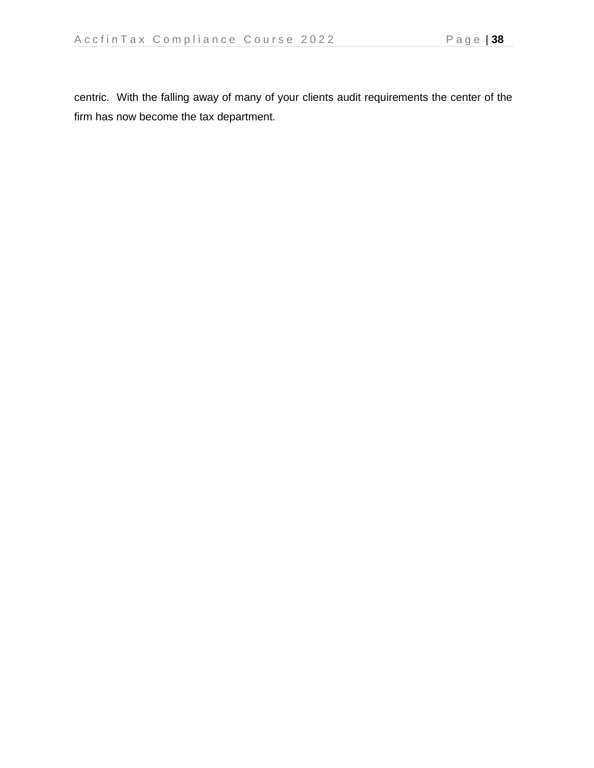centric. With the falling away of many of your clients audit requirements the center of the firm has now become the tax department.